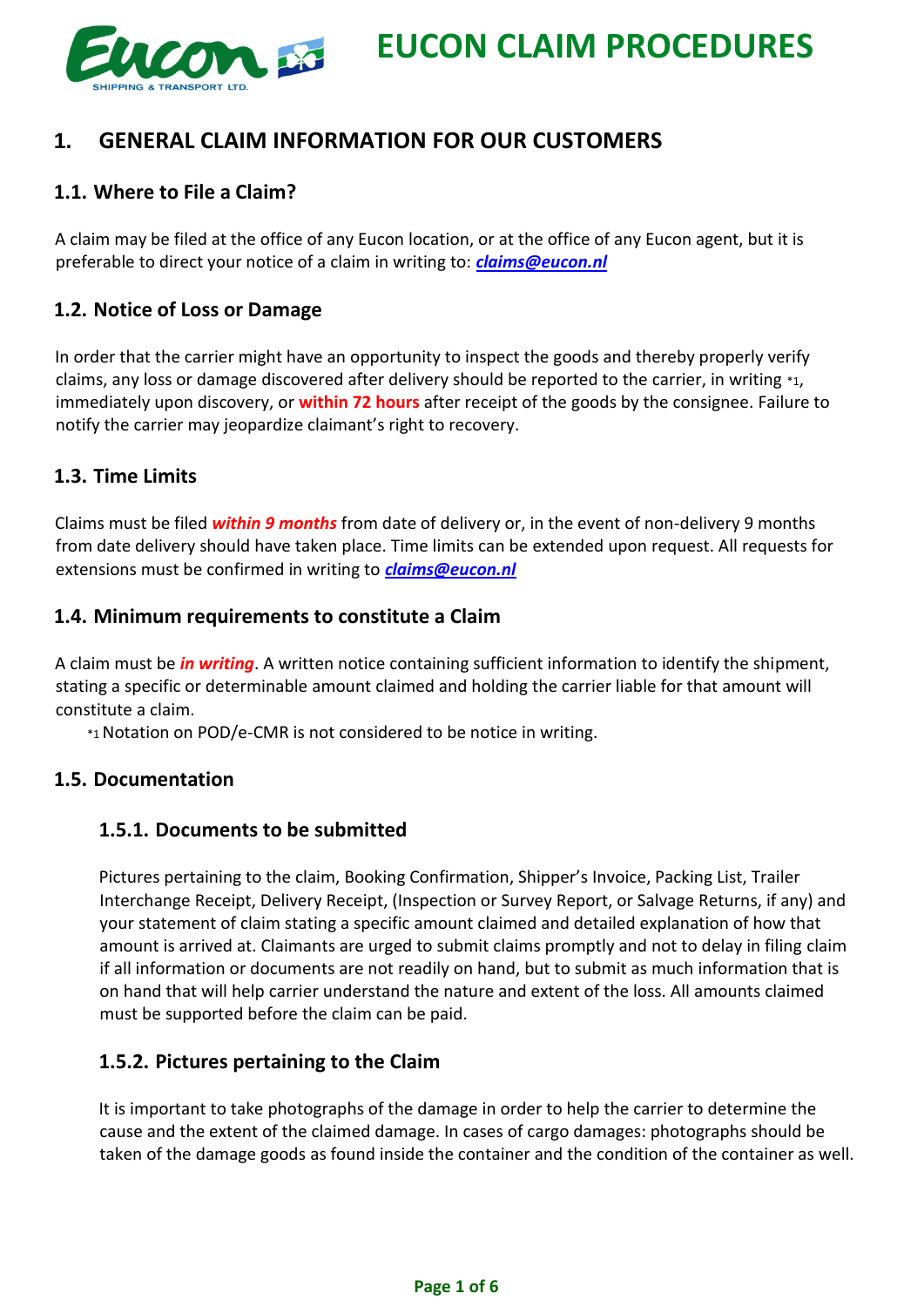

# **1. GENERAL CLAIM INFORMATION FOR OUR CUSTOMERS**

# **1.1. Where to File a Claim?**

A claim may be filed at the office of any Eucon location, or at the office of any Eucon agent, but it is preferable to direct your notice of a claim in writing to: *claims@eucon.nl*

# **1.2. Notice of Loss or Damage**

In order that the carrier might have an opportunity to inspect the goods and thereby properly verify claims, any loss or damage discovered after delivery should be reported to the carrier, in writing \*1, immediately upon discovery, or **within 72 hours** after receipt of the goods by the consignee. Failure to notify the carrier may jeopardize claimant's right to recovery.

# **1.3. Time Limits**

Claims must be filed *within 9 months* from date of delivery or, in the event of non-delivery 9 months from date delivery should have taken place. Time limits can be extended upon request. All requests for extensions must be confirmed in writing to *claims@eucon.nl*

# **1.4. Minimum requirements to constitute a Claim**

A claim must be *in writing*. A written notice containing sufficient information to identify the shipment, stating a specific or determinable amount claimed and holding the carrier liable for that amount will constitute a claim.

\*1Notation on POD/e-CMR is not considered to be notice in writing.

# **1.5. Documentation**

# **1.5.1. Documents to be submitted**

Pictures pertaining to the claim, Booking Confirmation, Shipper's Invoice, Packing List, Trailer Interchange Receipt, Delivery Receipt, (Inspection or Survey Report, or Salvage Returns, if any) and your statement of claim stating a specific amount claimed and detailed explanation of how that amount is arrived at. Claimants are urged to submit claims promptly and not to delay in filing claim if all information or documents are not readily on hand, but to submit as much information that is on hand that will help carrier understand the nature and extent of the loss. All amounts claimed must be supported before the claim can be paid.

# **1.5.2. Pictures pertaining to the Claim**

It is important to take photographs of the damage in order to help the carrier to determine the cause and the extent of the claimed damage. In cases of cargo damages: photographs should be taken of the damage goods as found inside the container and the condition of the container as well.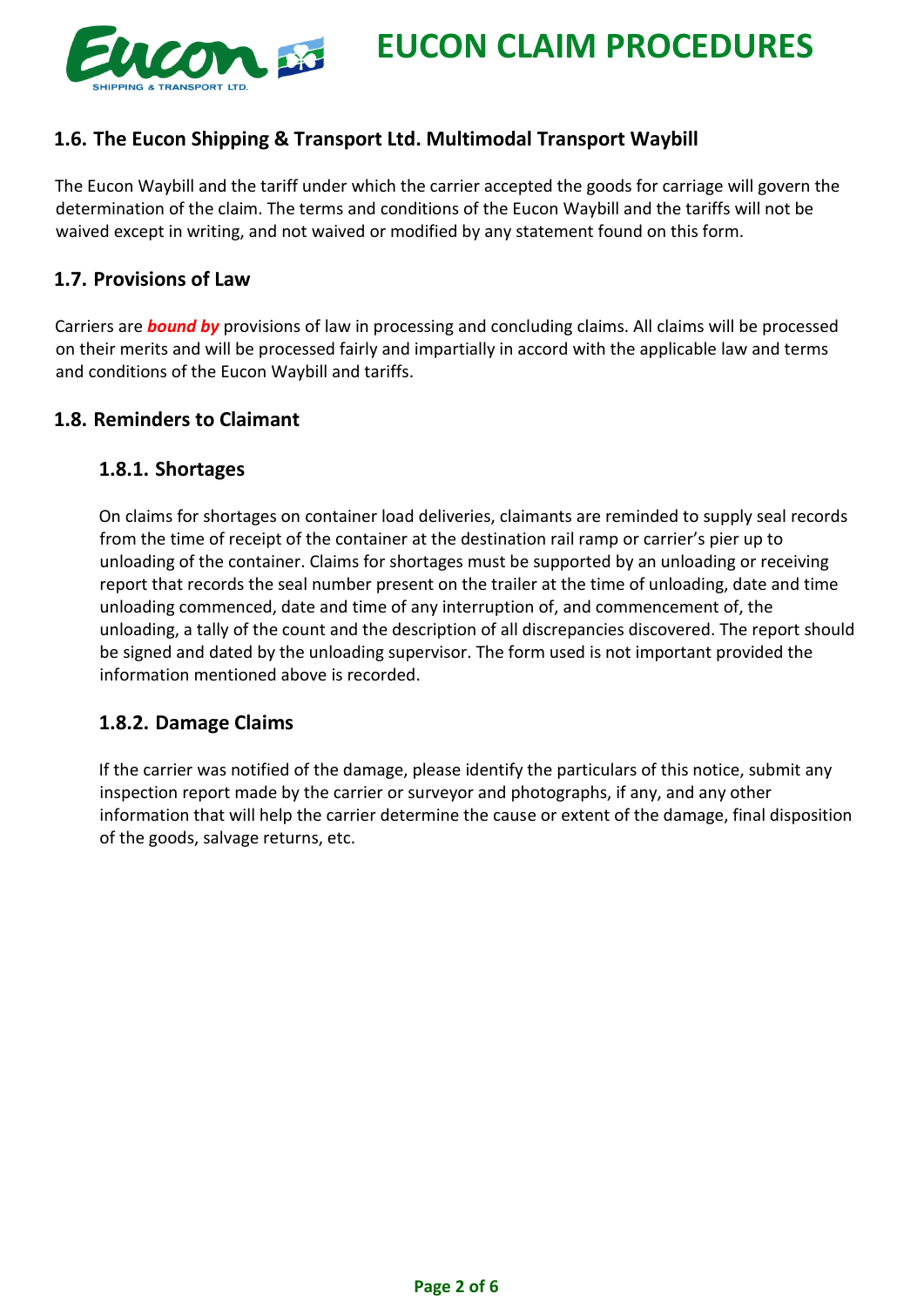

# **1.6. The Eucon Shipping & Transport Ltd. Multimodal Transport Waybill**

The Eucon Waybill and the tariff under which the carrier accepted the goods for carriage will govern the determination of the claim. The terms and conditions of the Eucon Waybill and the tariffs will not be waived except in writing, and not waived or modified by any statement found on this form.

#### **1.7. Provisions of Law**

Carriers are *bound by* provisions of law in processing and concluding claims. All claims will be processed on their merits and will be processed fairly and impartially in accord with the applicable law and terms and conditions of the Eucon Waybill and tariffs.

#### **1.8. Reminders to Claimant**

#### **1.8.1. Shortages**

On claims for shortages on container load deliveries, claimants are reminded to supply seal records from the time of receipt of the container at the destination rail ramp or carrier's pier up to unloading of the container. Claims for shortages must be supported by an unloading or receiving report that records the seal number present on the trailer at the time of unloading, date and time unloading commenced, date and time of any interruption of, and commencement of, the unloading, a tally of the count and the description of all discrepancies discovered. The report should be signed and dated by the unloading supervisor. The form used is not important provided the information mentioned above is recorded.

# **1.8.2. Damage Claims**

If the carrier was notified of the damage, please identify the particulars of this notice, submit any inspection report made by the carrier or surveyor and photographs, if any, and any other information that will help the carrier determine the cause or extent of the damage, final disposition of the goods, salvage returns, etc.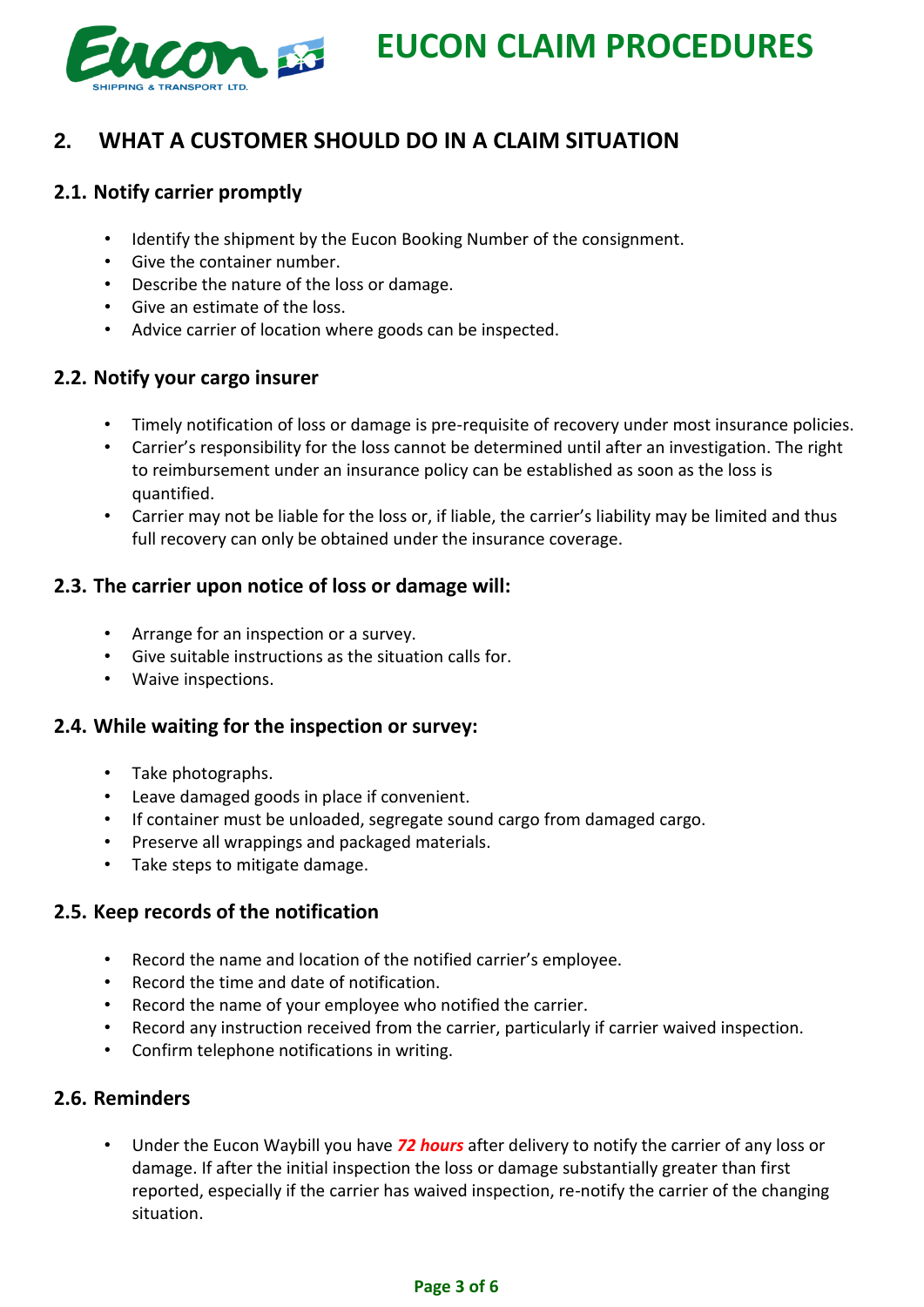

# **2. WHAT A CUSTOMER SHOULD DO IN A CLAIM SITUATION**

# **2.1. Notify carrier promptly**

- Identify the shipment by the Eucon Booking Number of the consignment.
- Give the container number.
- Describe the nature of the loss or damage.
- Give an estimate of the loss.
- Advice carrier of location where goods can be inspected.

# **2.2. Notify your cargo insurer**

- Timely notification of loss or damage is pre-requisite of recovery under most insurance policies.
- Carrier's responsibility for the loss cannot be determined until after an investigation. The right to reimbursement under an insurance policy can be established as soon as the loss is quantified.
- Carrier may not be liable for the loss or, if liable, the carrier's liability may be limited and thus full recovery can only be obtained under the insurance coverage.

# **2.3. The carrier upon notice of loss or damage will:**

- Arrange for an inspection or a survey.
- Give suitable instructions as the situation calls for.
- Waive inspections.

# **2.4. While waiting for the inspection or survey:**

- Take photographs.
- Leave damaged goods in place if convenient.
- If container must be unloaded, segregate sound cargo from damaged cargo.
- Preserve all wrappings and packaged materials.
- Take steps to mitigate damage.

# **2.5. Keep records of the notification**

- Record the name and location of the notified carrier's employee.
- Record the time and date of notification.
- Record the name of your employee who notified the carrier.
- Record any instruction received from the carrier, particularly if carrier waived inspection.
- Confirm telephone notifications in writing.

# **2.6. Reminders**

• Under the Eucon Waybill you have *72 hours* after delivery to notify the carrier of any loss or damage. If after the initial inspection the loss or damage substantially greater than first reported, especially if the carrier has waived inspection, re-notify the carrier of the changing situation.

#### **Page 3 of 6**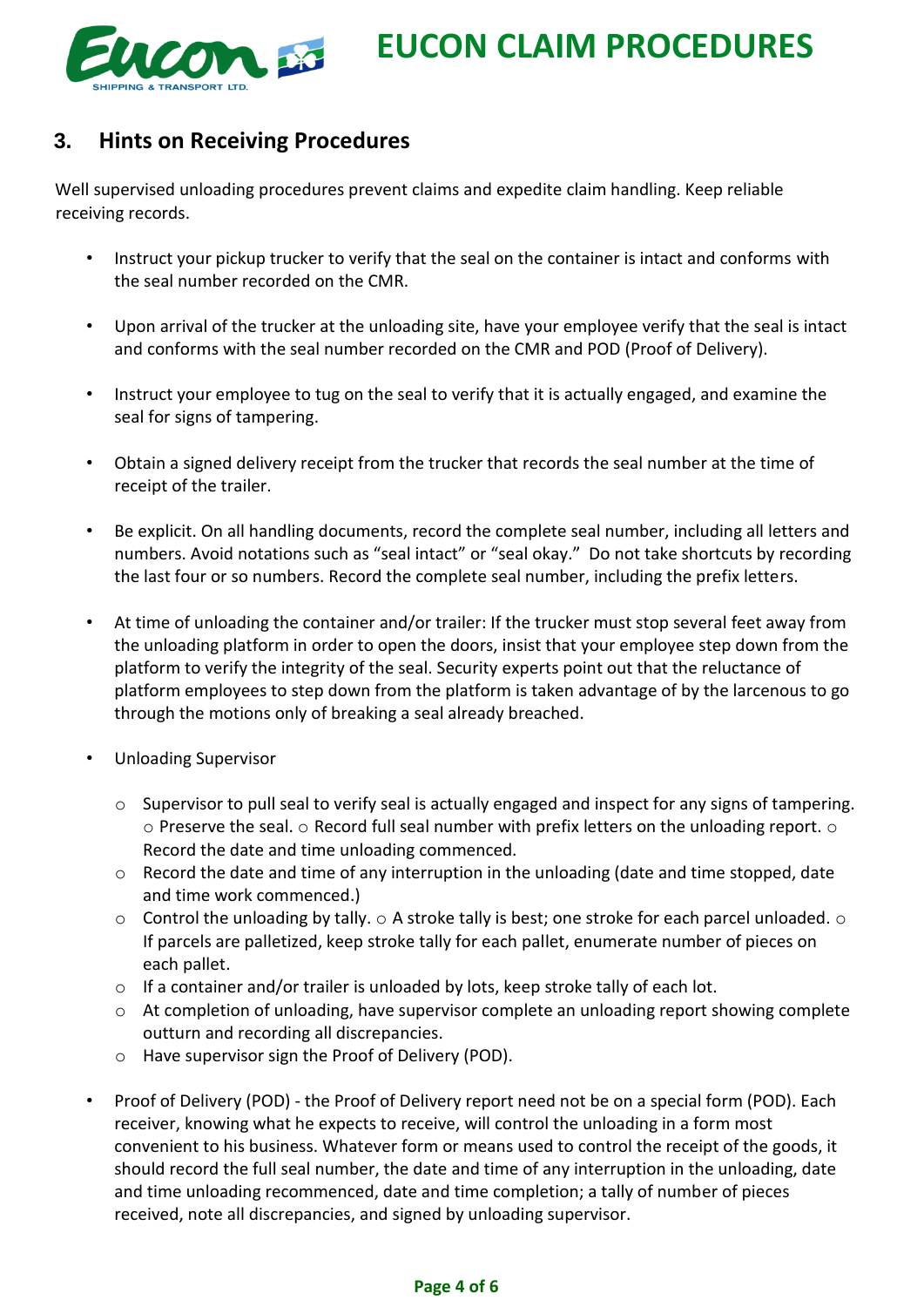

# **3. Hints on Receiving Procedures**

Well supervised unloading procedures prevent claims and expedite claim handling. Keep reliable receiving records.

- Instruct your pickup trucker to verify that the seal on the container is intact and conforms with the seal number recorded on the CMR.
- Upon arrival of the trucker at the unloading site, have your employee verify that the seal is intact and conforms with the seal number recorded on the CMR and POD (Proof of Delivery).
- Instruct your employee to tug on the seal to verify that it is actually engaged, and examine the seal for signs of tampering.
- Obtain a signed delivery receipt from the trucker that records the seal number at the time of receipt of the trailer.
- Be explicit. On all handling documents, record the complete seal number, including all letters and numbers. Avoid notations such as "seal intact" or "seal okay." Do not take shortcuts by recording the last four or so numbers. Record the complete seal number, including the prefix letters.
- At time of unloading the container and/or trailer: If the trucker must stop several feet away from the unloading platform in order to open the doors, insist that your employee step down from the platform to verify the integrity of the seal. Security experts point out that the reluctance of platform employees to step down from the platform is taken advantage of by the larcenous to go through the motions only of breaking a seal already breached.
- Unloading Supervisor
	- $\circ$  Supervisor to pull seal to verify seal is actually engaged and inspect for any signs of tampering.  $\circ$  Preserve the seal.  $\circ$  Record full seal number with prefix letters on the unloading report.  $\circ$ Record the date and time unloading commenced.
	- o Record the date and time of any interruption in the unloading (date and time stopped, date and time work commenced.)
	- $\circ$  Control the unloading by tally.  $\circ$  A stroke tally is best; one stroke for each parcel unloaded.  $\circ$ If parcels are palletized, keep stroke tally for each pallet, enumerate number of pieces on each pallet.
	- o If a container and/or trailer is unloaded by lots, keep stroke tally of each lot.
	- o At completion of unloading, have supervisor complete an unloading report showing complete outturn and recording all discrepancies.
	- o Have supervisor sign the Proof of Delivery (POD).
- Proof of Delivery (POD) the Proof of Delivery report need not be on a special form (POD). Each receiver, knowing what he expects to receive, will control the unloading in a form most convenient to his business. Whatever form or means used to control the receipt of the goods, it should record the full seal number, the date and time of any interruption in the unloading, date and time unloading recommenced, date and time completion; a tally of number of pieces received, note all discrepancies, and signed by unloading supervisor.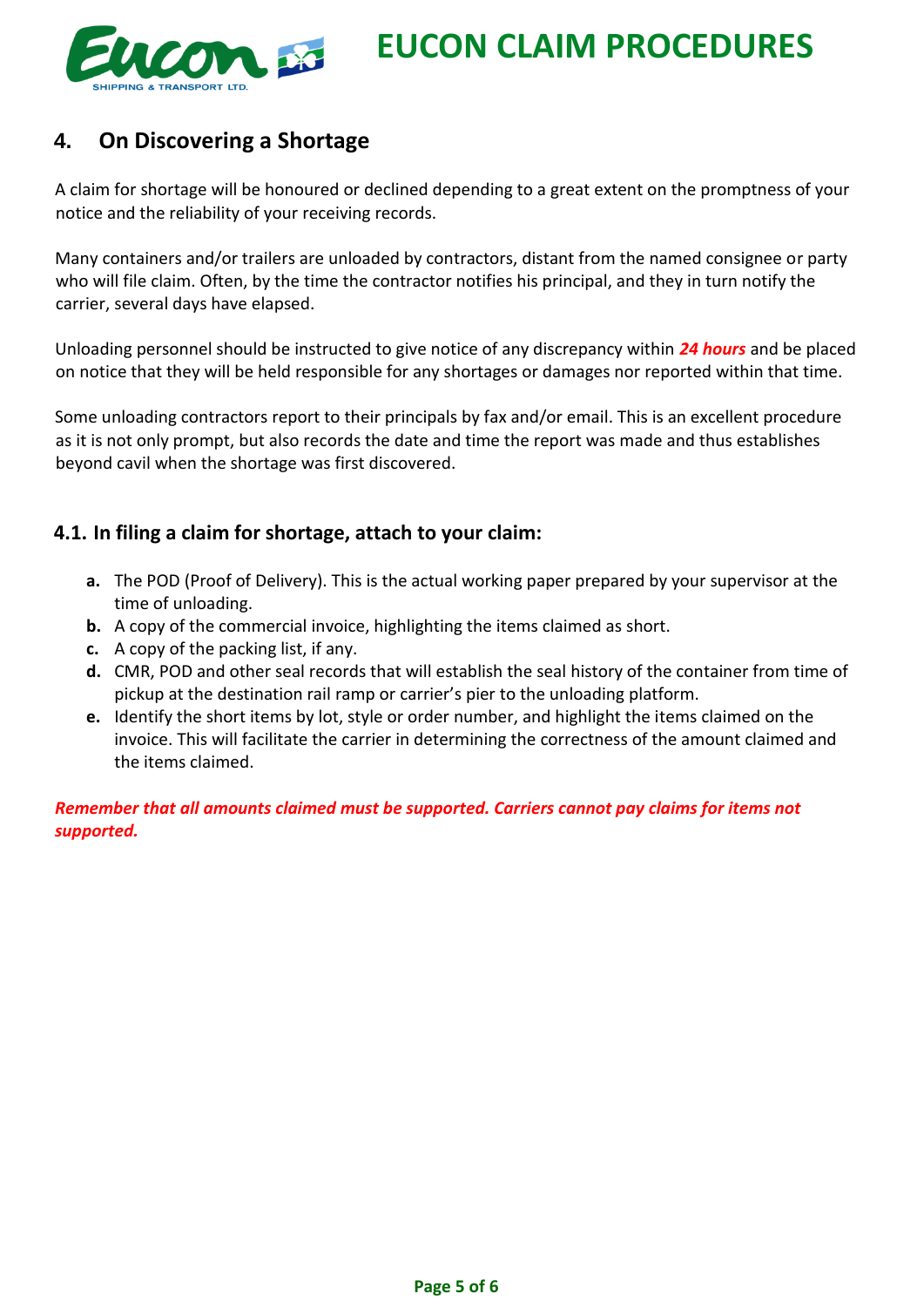

# **4. On Discovering a Shortage**

A claim for shortage will be honoured or declined depending to a great extent on the promptness of your notice and the reliability of your receiving records.

Many containers and/or trailers are unloaded by contractors, distant from the named consignee or party who will file claim. Often, by the time the contractor notifies his principal, and they in turn notify the carrier, several days have elapsed.

Unloading personnel should be instructed to give notice of any discrepancy within *24 hours* and be placed on notice that they will be held responsible for any shortages or damages nor reported within that time.

Some unloading contractors report to their principals by fax and/or email. This is an excellent procedure as it is not only prompt, but also records the date and time the report was made and thus establishes beyond cavil when the shortage was first discovered.

# **4.1. In filing a claim for shortage, attach to your claim:**

- **a.** The POD (Proof of Delivery). This is the actual working paper prepared by your supervisor at the time of unloading.
- **b.** A copy of the commercial invoice, highlighting the items claimed as short.
- **c.** A copy of the packing list, if any.
- **d.** CMR, POD and other seal records that will establish the seal history of the container from time of pickup at the destination rail ramp or carrier's pier to the unloading platform.
- **e.** Identify the short items by lot, style or order number, and highlight the items claimed on the invoice. This will facilitate the carrier in determining the correctness of the amount claimed and the items claimed.

*Remember that all amounts claimed must be supported. Carriers cannot pay claims for items not supported.*